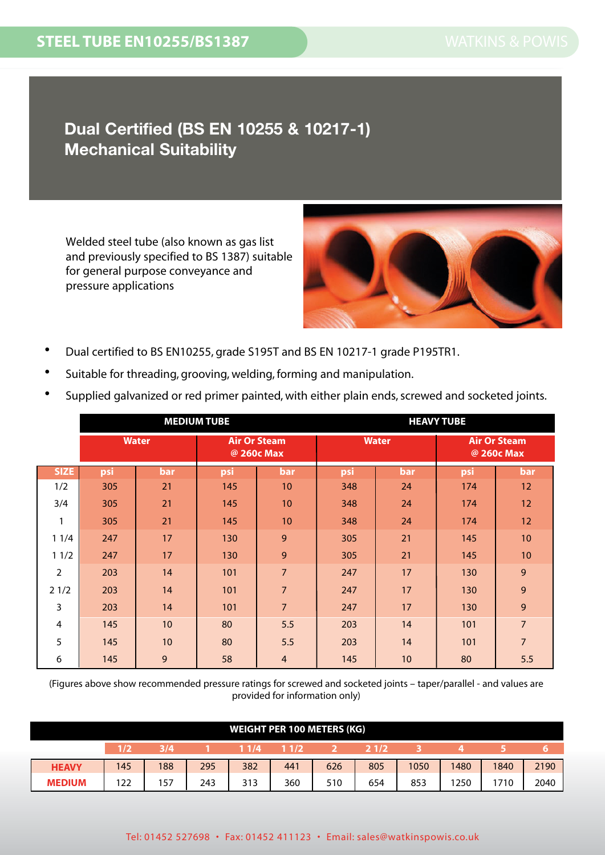## **Dual Certified (BS EN 10255 & 10217-1) Mechanical Suitability**

Welded steel tube (also known as gas list and previously specified to BS 1387) suitable for general purpose conveyance and pressure applications



- Dual certified to BS EN10255, grade S195T and BS EN 10217-1 grade P195TR1.
- Suitable for threading, grooving, welding, forming and manipulation.

|  |  |  | • Supplied galvanized or red primer painted, with either plain ends, screwed and socketed joints. |  |
|--|--|--|---------------------------------------------------------------------------------------------------|--|
|--|--|--|---------------------------------------------------------------------------------------------------|--|

|                |              |            | <b>MEDIUM TUBE</b>                |                 | <b>HEAVY TUBE</b> |              |                                   |                |  |  |
|----------------|--------------|------------|-----------------------------------|-----------------|-------------------|--------------|-----------------------------------|----------------|--|--|
|                | <b>Water</b> |            | <b>Air Or Steam</b><br>@ 260c Max |                 |                   | <b>Water</b> | <b>Air Or Steam</b><br>@ 260c Max |                |  |  |
| <b>SIZE</b>    | psi          | <b>bar</b> | psi                               | <b>bar</b>      | psi               | <b>bar</b>   | psi                               | bar            |  |  |
| 1/2            | 305          | 21         | 145                               | 10 <sup>°</sup> | 348               | 24           | 174                               | 12             |  |  |
| 3/4            | 305          | 21         | 145                               | 10 <sup>°</sup> | 348               | 24           | 174                               | 12             |  |  |
| 1              | 305          | 21         | 145                               | 10              | 348               | 24           | 174                               | 12             |  |  |
| 11/4           | 247          | 17         | 130                               | 9               | 305               | 21           | 145                               | 10             |  |  |
| 11/2           | 247          | 17         | 130                               | 9               | 305               | 21           | 145                               | 10             |  |  |
| $\overline{2}$ | 203          | 14         | 101                               | $\overline{7}$  | 247               | 17           | 130                               | 9              |  |  |
| 21/2           | 203          | 14         | 101                               | $\overline{7}$  | 247               | 17           | 130                               | 9              |  |  |
| 3              | 203          | 14         | 101                               | $\overline{7}$  | 247               | 17           | 130                               | 9              |  |  |
| 4              | 145          | 10         | 80                                | 5.5             | 203               | 14           | 101                               | $\overline{7}$ |  |  |
| 5              | 145          | 10         | 80                                | 5.5             | 203               | 14           | 101                               | 7              |  |  |
| 6              | 145          | 9          | 58                                | $\overline{4}$  | 145               | 10           | 80                                | 5.5            |  |  |

(Figures above show recommended pressure ratings for screwed and socketed joints – taper/parallel - and values are provided for information only)

|                                      | <b>WEIGHT PER 100 METERS (KG)</b> |     |     |     |     |     |     |      |      |      |      |
|--------------------------------------|-----------------------------------|-----|-----|-----|-----|-----|-----|------|------|------|------|
| 11/4<br>11/2<br>21/2<br>3/4<br>(1/2) |                                   |     |     |     |     |     |     |      |      |      |      |
| <b>HEAVY</b>                         | 145                               | 188 | 295 | 382 | 441 | 626 | 805 | 1050 | 1480 | 1840 | 2190 |
| <b>MEDIUM</b>                        | 122                               | 157 | 243 | 313 | 360 | 510 | 654 | 853  | 250  | 1710 | 2040 |